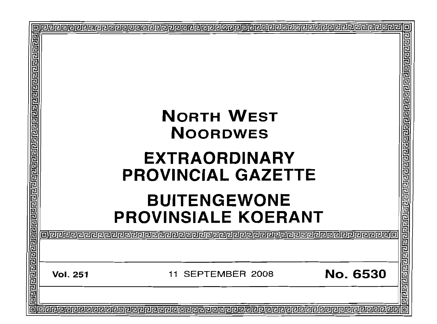| <b>NORTH WEST</b><br><b>NOORDWES</b><br><b>EXTRAORDINARY</b><br><b>PROVINCIAL GAZETTE</b><br><b>BUITENGEWONE</b><br><b>PROVINSIALE KOERANT</b> | 리리티미리티티리리리리리리리리<br>elelelele |
|------------------------------------------------------------------------------------------------------------------------------------------------|------------------------------|
| <b>No. 6530</b><br><b>SEPTEMBER 2008</b><br><b>Vol. 251</b><br>11                                                                              | 卮<br>민리리리리<br>同              |
|                                                                                                                                                |                              |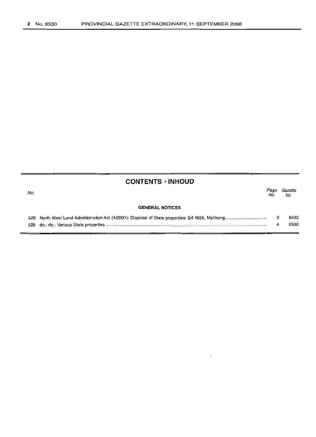|  | <b>CONTENTS · INHOUD</b> |  |  |
|--|--------------------------|--|--|
|  |                          |  |  |

| No. |                        | Page<br>No. | Gazette<br>No. |
|-----|------------------------|-------------|----------------|
|     | <b>GENERAL NOTICES</b> |             |                |
|     |                        |             | 6530           |
|     |                        |             | 6530           |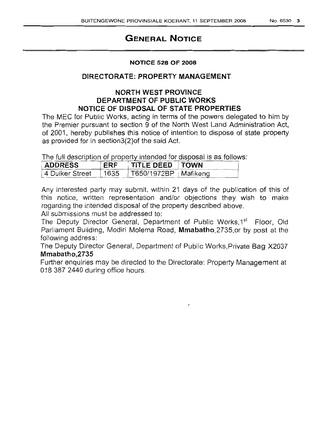# **GENERAL NOTICE**

### **NOTICE 528 OF 2008**

# **DIRECTORATE: PROPERTY MANAGEMENT**

# **NORTH WEST PROVINCE DEPARTMENT OF PUBLIC WORKS NOTICE OF DISPOSAL OF STATE PROPERTIES**

The MEC for Public Works, acting in terms of the powers delegated to him by the Premier pursuant to section 9 of the North West Land Administration Act, of 2001, hereby publishes this notice of intention to dispose of state property as provided for in section3(2)of the said Act.

The full description of property intended for disposal is as follows:

| <b>ADDRESS</b>                                  | ERF TITLE DEED TOWN |  |
|-------------------------------------------------|---------------------|--|
| 4 Duiker Street   1635   T650/1972BP   Mafikeng |                     |  |
|                                                 |                     |  |

Any interested party may submit, within 21 days of the publication of this of this notice, written representation and/or objections they wish to make regarding the intended disposal of the property described above.

All submissions must be addressed to:

The Deputy Director General, Department of Public Works, 1<sup>st</sup> Floor, Old Parliament Building, Modiri Molema Road, Mmabatho, 2735, or by post at the following address:

The Deputy Director General, Department of Public Works,Private Bag X2037 **Mmabath**0,2735

Further enquiries may be directed to the Directorate: Property Management at 018 387 2440 during office hours.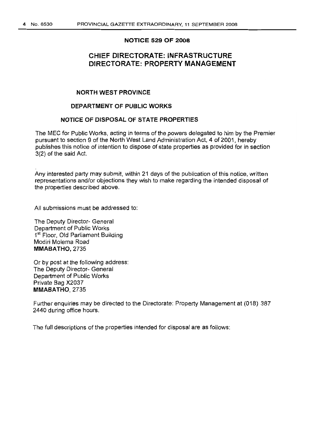#### **NOTICE 529 OF 2008**

# **CHIEF DIRECTORATE: INFRASTRUCTURE DIRECTORATE: PROPERTY MANAGEMENT**

#### **NORTH WEST PROVINCE**

### **DEPARTMENT OF PUBLIC WORKS**

### **NOTICE OF DISPOSAL OF STATE PROPERTIES**

The MEC for Public Works, acting in terms of the powers delegated to him by the Premier pursuant to section 9 of the North West Land Administration Act, 4 of 2001, hereby publishes this notice of intention to dispose of state properties as provided for in section 3(2) of the said Act.

Any interested party may submit, within 21 days of the publication of this notice, written representations and/or objections they wish to make regarding the intended disposal of the properties described above.

All submissions must be addressed to:

The Deputy Director- General Department of Public Works 1st Floor, Old Parliament Building Modiri Molema Road **MMABATHO,** 2735

Or by post at the following address: The Deputy Director- General Department of Public Works Private Bag X2037 MMABATHO, 2735

Further enquiries may be directed to the Directorate: Property Management at (018) 387 2440 during office hours.

The full descriptions of the properties intended for disposal are as follows: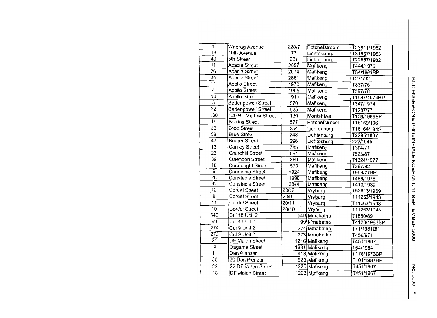| 1               | <b>Wndrag Avenue</b>      | 228/7 | Potchefstroom | T33911/1982  |
|-----------------|---------------------------|-------|---------------|--------------|
| 16              | 10th Avenue               | 77    | Lichtenburg   | T31857/1983  |
| 49              | 5th Street                | 681   | Lichtenburg   | T22557/1982  |
| $\overline{11}$ | Acacia Street             | 2057  | Mafikeng      | T444/1975    |
| $\overline{26}$ | Acacia Street             | 2074  | Mafikeng      | T54/1991BP   |
| $3\overline{4}$ | Acacia Street             | 2861  | Mafikeng      | T271/92      |
| 11              | Apollo Street             | 1970  | Mafikeng      | T837/76      |
| $\overline{4}$  | Apollo Street             | 1905  | Mafikeng      | T597/78      |
| 16              | Apollo Street             | 1911  | Mafikeng      | T1587/1979BP |
| $\overline{5}$  | <b>Badenpowell Street</b> | 570   | Mafikeng      | T347/1974    |
| $\overline{22}$ | <b>Badenpowell Street</b> | 625   | Mafikeng      | T1287/77     |
| 130             | 130 BL Mothibi Street     | 130   | Montshiwa     | T108/1989BP  |
| 19              | Borrius Street            | 577   | Potchefstroom | T16159/196   |
| $3\overline{5}$ | <b>Bree Street</b>        | 254   | Lichtenburg   | T16164/1945  |
| 59              | <b>Bree Street</b>        | 248   | Lichtenburg   | T2295/1887   |
| $\overline{47}$ | <b>Burger Street</b>      | 296   | Lichtenburg   | 222/1945     |
| 13              | Carney Street             | 785   | Mafikeng      | T394/71      |
| $\overline{23}$ | Churchill Street          | 691   | Mafikeng      | T623/87      |
| $\overline{39}$ | Claendon Street           | 380   | Mafikeng      | T1324/1977   |
| 18              | Connought Street          | 573   | Mafikeng      | T387/82      |
| $\overline{9}$  | Constacia Street          | 1924  | Mafikeng      | T968/77BP    |
| $\overline{26}$ | Constacia Street          | 1990  | Mafikeng      | T488/1978    |
| $\overline{32}$ | Constacia Street          | 2344  | Mafikeng      | T410/1989    |
| 12              | Cordel Street             | 20/12 | Vryburg       | T52613/1969  |
| $\overline{9}$  | <b>Cordel Street</b>      | 20/9  | Vryburg       | T11263/1943  |
| 11              | Cordel Street             | 20/11 | Vryburg       | T11263/1943  |
| 10              | Cordel Street             | 20/10 | Vryburg       | T11263/1943  |
| 540             | Cul 18 Unit 2             |       | 540 Mmabatho  | T1880/89     |
| 99              | Cul 4 Unit 2              |       | 99 Mmabatho   | T4126/1983BP |
| 274             | Cul 9 Unit 2              |       | 274 Mmabatho  | T71/1981BP   |
| 273             | Cul 9 Unit 2              |       | 273 Mmabatho  | T456/971     |
| $\overline{21}$ | DF Malan Street           |       | 1216 Mafikeng | T451/1967    |
| 4               | Dagama Street             |       | 1931 Mafikeng | T54/1984     |
| $\overline{11}$ | Dan Pienaar               |       | 913 Mafikeng  | T178/1976BP  |
| 30              | 30 Dan Pienaar            |       | 929 Mafikeng  | T101/1987BP  |
| 22              | 22 DF Malan Street        |       | 1225 Mafikeng | T451/1967    |
| 18              | <b>DF Malan Street</b>    |       | 1223 Mafikeng | T451/1967    |
|                 |                           |       |               |              |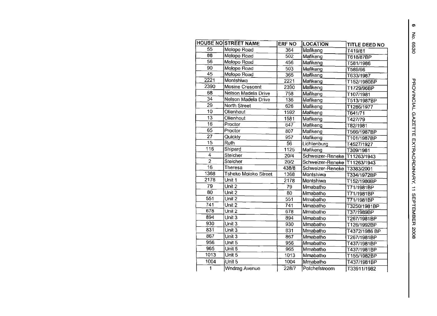|                   | <b>HOUSE NO STREET NAME</b> | <b>ERF NO</b>    | <b>LOCATION</b>               | TITLE DEED NO |
|-------------------|-----------------------------|------------------|-------------------------------|---------------|
| 55                | Molopo Road                 | 364              | Mafikeng                      | T419/81       |
| 88                | Molopo Road                 | 502              | Mafikeng                      | T618/87BP     |
| 56                | Molopo Road                 | 456              | Mafikeng                      | T581/1986     |
| 90                | Molopo Road                 | 503              | Mafikeng                      | T589/96       |
| 45                | Molopo Road                 | 365              | Mafikeng                      | T633/1987     |
| $\overline{222}1$ | Montshiwa                   | 2221             | Mafikeng                      | T152/1980BP   |
| 2390              | Mosine Crescent             | 2390             | Mafikeng                      | T1729/96BP    |
| 68                | Nelson Madela Drive         | 758              | Mafikeng                      | T107/1981     |
| $\overline{34}$   | Nelson Madela Drive         | 136              | Mafikeng                      | T513/1987BP   |
| $\overline{29}$   | North Street                | 626              | Mafikeng                      | T1286/1977    |
| $\overline{10}$   | Olienhout                   | 1592             | Mafikeng                      | T641/71       |
| $\overline{13}$   | Olienhout                   | 1581             | Mafikeng                      | T427/79       |
| $\overline{16}$   | Proctor                     | 647              | Mafikeng                      | T82/1981      |
| $\overline{65}$   | Proctor                     | 807              | Mafikeng                      | T566/1987BP   |
| $\overline{27}$   | Quickly                     | 957              | Mafikeng                      | T101/1987BP   |
| $\overline{15}$   | Ruth                        | $\overline{56}$  | Lichtenburg                   | T4527/1927    |
| $\overline{116}$  | Shipard                     | 1125             | Mafikeng                      | T309/1981     |
| 4                 | Steicher                    | 20/4             | Schweizer-Reneke T11263/1943  |               |
| $\overline{2}$    | Steicher                    | 20/2             | Schweizer-Reneke T11263/1943  |               |
| $\overline{16}$   | Theresa                     | 438/8            | Schweizer-Reneke   T3383/2001 |               |
| 1368              | <b>Tsheko Moloko Street</b> | 1368             | Montshiwa                     | T334/1972BP   |
| 2178              | Unit 1                      | 2178             | Montshiwa                     | T152/1980BP   |
| 79                | Unit 2                      | 79               | Mmabatho                      | T71/1981BP    |
| 80                | Unit $\overline{2}$         | 80               | Mmabatho                      | T71/1981BP    |
| 551               | Unit $2$                    | 551              | Mmabatho                      | T71/1981BP    |
| 741               | Unit $2$                    | $7\overline{41}$ | Mmabatho                      | T3250/1981BP  |
| 678               | Unit $2$                    | 678              | Mmabatho                      | T37/1989BP    |
| 894               | Unit $3$                    | 894              | Mmabatho                      | T267/1981BP   |
| 930               | Unit 3                      | 930              | Mmabatho                      | T126/1992BP   |
| 831               | Unit $3$                    | 831              | Mmabatho                      | T4372/1986 BP |
| 867               | Unit 3                      | 867              | Mmabatho                      | T267/1981BP   |
| 956               | Unit $5$                    | 956              | Mmabatho                      | T437/1981BP   |
| 965               | Unit 5                      | 965              | Mmabatho                      | T437/1981BP   |
| 1013              | Unit 5                      | 1013             | Mmabatho                      | T155/1982BP   |
| 1004              | Unit 5                      | 1004             | Mmabatho                      | T437/1981BP   |
| $\blacksquare$    | <b>Wndrag Avenue</b>        | 228/7            | Potchefstroom                 | T33911/1982   |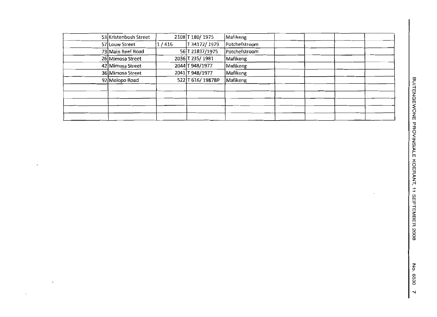| 53 Kristenbosh Street |       | 2108 T 180/1975  | Mafikeng      |
|-----------------------|-------|------------------|---------------|
| 57 Louw Street        | 1/416 | T34172/1979      | Potchefstroom |
| 73 Main Reef Road     |       | 56 T 21837/1975  | Potchefstroom |
| 26 Mimosa Street      |       | 2036 T 235/1981  | Mafikeng      |
| 42 Mimosa Street      |       | 2044 T 948/1977  | Mafikeng      |
| 36 Mimosa Street      |       | 2041 T 948/1977  | Mafikeng      |
| 92 Molopo Road        |       | 522 T 616/1987BP | Mafikeng      |
|                       |       |                  |               |
|                       |       |                  |               |
|                       |       |                  |               |
|                       |       |                  |               |
|                       |       |                  |               |